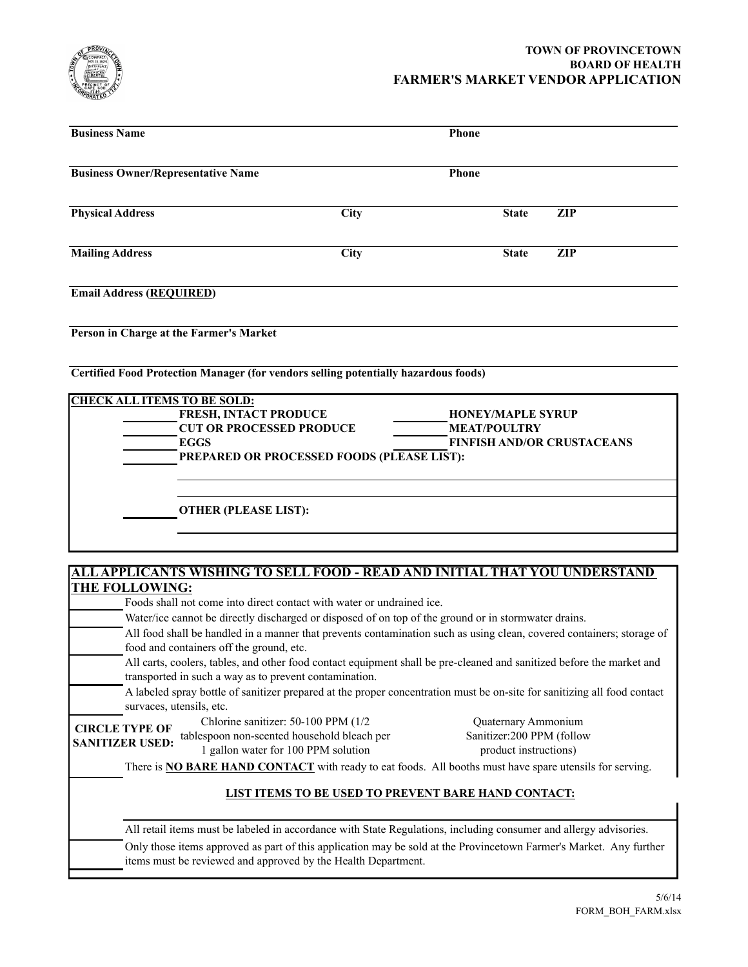

## **TOWN OF PROVINCETOWN BOARD OF HEALTH FARMER'S MARKET VENDOR APPLICATION**

| <b>Business Name</b>                                                                | Phone                                                                                                                                                                                                                         |                     |                   |
|-------------------------------------------------------------------------------------|-------------------------------------------------------------------------------------------------------------------------------------------------------------------------------------------------------------------------------|---------------------|-------------------|
| <b>Business Owner/Representative Name</b><br><b>Phone</b>                           |                                                                                                                                                                                                                               |                     |                   |
| <b>Physical Address</b>                                                             | City                                                                                                                                                                                                                          | <b>State</b>        | $\overline{Z}$ IP |
| <b>Mailing Address</b>                                                              | <b>City</b>                                                                                                                                                                                                                   | <b>State</b>        | $\overline{ZIP}$  |
| <b>Email Address (REQUIRED)</b>                                                     |                                                                                                                                                                                                                               |                     |                   |
| Person in Charge at the Farmer's Market                                             |                                                                                                                                                                                                                               |                     |                   |
| Certified Food Protection Manager (for vendors selling potentially hazardous foods) |                                                                                                                                                                                                                               |                     |                   |
| <b>CHECK ALL ITEMS TO BE SOLD:</b><br><b>EGGS</b>                                   | FRESH, INTACT PRODUCE<br><b>HONEY/MAPLE SYRUP</b><br><b>CUT OR PROCESSED PRODUCE</b><br><b>MEAT/POULTRY</b><br><b>FINFISH AND/OR CRUSTACEANS</b><br>PREPARED OR PROCESSED FOODS (PLEASE LIST):                                |                     |                   |
| <b>OTHER (PLEASE LIST):</b>                                                         |                                                                                                                                                                                                                               |                     |                   |
|                                                                                     |                                                                                                                                                                                                                               |                     |                   |
| ALL APPLICANTS WISHING TO SELL FOOD - READ AND INITIAL THAT YOU UNDERSTAND          |                                                                                                                                                                                                                               |                     |                   |
| THE FOLLOWING:                                                                      |                                                                                                                                                                                                                               |                     |                   |
|                                                                                     | Foods shall not come into direct contact with water or undrained ice.                                                                                                                                                         |                     |                   |
|                                                                                     | Water/ice cannot be directly discharged or disposed of on top of the ground or in stormwater drains.<br>All food shall be handled in a manner that prevents contamination such as using clean, covered containers; storage of |                     |                   |
| food and containers off the ground, etc.                                            |                                                                                                                                                                                                                               |                     |                   |
|                                                                                     | All carts, coolers, tables, and other food contact equipment shall be pre-cleaned and sanitized before the market and<br>transported in such a way as to prevent contamination.                                               |                     |                   |
| survaces, utensils, etc.                                                            | A labeled spray bottle of sanitizer prepared at the proper concentration must be on-site for sanitizing all food contact                                                                                                      |                     |                   |
|                                                                                     | Chlorine sanitizer: 50-100 PPM (1/2)                                                                                                                                                                                          | Quaternary Ammonium |                   |

**SANITIZER USED:**

Chlorine sanitizer: 50-100 PPM (1/2 **CIRCLE TYPE OF** tablespoon non-scented household bleach per 1 gallon water for 100 PPM solution

Quaternary Ammonium Sanitizer:200 PPM (follow product instructions)

There is **NO BARE HAND CONTACT** with ready to eat foods. All booths must have spare utensils for serving.

### **LIST ITEMS TO BE USED TO PREVENT BARE HAND CONTACT:**

All retail items must be labeled in accordance with State Regulations, including consumer and allergy advisories.

Only those items approved as part of this application may be sold at the Provincetown Farmer's Market. Any further items must be reviewed and approved by the Health Department.